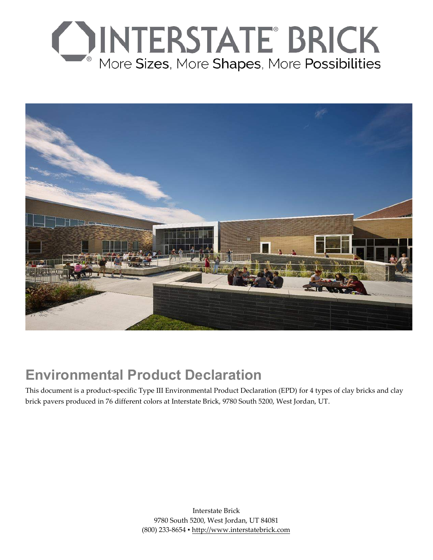



# **Environmental Product Declaration**

This document is a product-specific Type III Environmental Product Declaration (EPD) for 4 types of clay bricks and clay brick pavers produced in 76 different colors at Interstate Brick, 9780 South 5200, West Jordan, UT.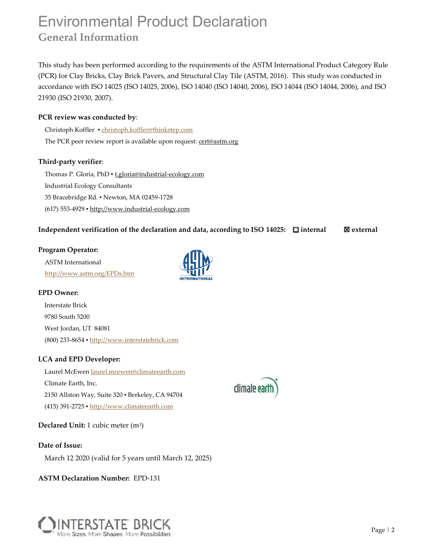## Environmental Product Declaration **General Information**

This study has been performed according to the requirements of the ASTM International Product Category Rule (PCR) for Clay Bricks, Clay Brick Pavers, and Structural Clay Tile (ASTM, 2016). This study was conducted in accordance with ISO 14025 (ISO 14025, 2006), ISO 14040 (ISO 14040, 2006), ISO 14044 (ISO 14044, 2006), and ISO 21930 (ISO 21930, 2007).

### **PCR review was conducted by**:

Christoph Koffler ▪ christoph.koffler@thinkstep.com The PCR peer review report is available upon request: cert@astm.org

### **Third-party verifier**:

Thomas P. Gloria, PhD · t.gloria@industrial-ecology.com Industrial Ecology Consultants 35 Bracebridge Rd. ▪ Newton, MA 02459-1728 (617) 553-4929 ▪ http://www.industrial-ecology.com

### **Independent verification of the declaration and data, according to ISO 14025: □ internal 图 external**

#### **Program Operator:**

ASTM International http://www.astm.org/EPDs.htm



#### **EPD Owner:**

Interstate Brick 9780 South 5200 West Jordan, UT 84081 (800) 233-8654 ▪ http://www.interstatebrick.com

### **LCA and EPD Developer:**

Laurel McEwen laurel.mcewen@climateearth.com Climate Earth, Inc. 2150 Allston Way, Suite 320 ▪ Berkeley, CA 94704 (415) 391-2725 ▪ http://www.climateearth.com

**Declared Unit:** 1 cubic meter (m3)

**Date of Issue:** 

March 12 2020 (valid for 5 years until March 12, 2025)

**ASTM Declaration Number:** EPD-131



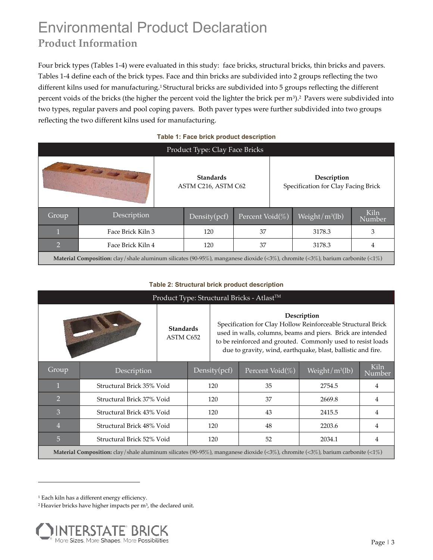# Environmental Product Declaration **Product Information**

Four brick types (Tables 1-4) were evaluated in this study: face bricks, structural bricks, thin bricks and pavers. Tables 1-4 define each of the brick types. Face and thin bricks are subdivided into 2 groups reflecting the two different kilns used for manufacturing.1 Structural bricks are subdivided into 5 groups reflecting the different percent voids of the bricks (the higher the percent void the lighter the brick per m<sup>3</sup>).<sup>2</sup> Pavers were subdivided into two types, regular pavers and pool coping pavers. Both paver types were further subdivided into two groups reflecting the two different kilns used for manufacturing.

|                                                                                                                                      |                   |  | Product Type: Clay Face Bricks          |                 |                                                    |                    |                |  |  |  |
|--------------------------------------------------------------------------------------------------------------------------------------|-------------------|--|-----------------------------------------|-----------------|----------------------------------------------------|--------------------|----------------|--|--|--|
|                                                                                                                                      | <b>CONTRACTOR</b> |  | <b>Standards</b><br>ASTM C216, ASTM C62 |                 | Description<br>Specification for Clay Facing Brick |                    |                |  |  |  |
| Group                                                                                                                                | Description       |  | Density(pcf)                            | Percent Void(%) |                                                    | Weight/ $m^3$ (lb) | Kiln<br>Number |  |  |  |
|                                                                                                                                      | Face Brick Kiln 3 |  | 120                                     | 37              |                                                    | 3178.3             | 3              |  |  |  |
| 12                                                                                                                                   | Face Brick Kiln 4 |  | 120                                     | 37              |                                                    | 3178.3             | 4              |  |  |  |
| <b>Material Composition:</b> clay/shale aluminum silicates (90-95%), manganese dioxide (<3%), chromite (<3%), barium carbonite (<1%) |                   |  |                                         |                 |                                                    |                    |                |  |  |  |

#### **Table 1: Face brick product description**

#### **Table 2: Structural brick product description**

|                                                                                                                                      | Product Type: Structural Bricks - Atlast™             |                               |  |                                                                                                                                                                                                                                                                           |                     |                    |                |  |  |  |  |  |  |
|--------------------------------------------------------------------------------------------------------------------------------------|-------------------------------------------------------|-------------------------------|--|---------------------------------------------------------------------------------------------------------------------------------------------------------------------------------------------------------------------------------------------------------------------------|---------------------|--------------------|----------------|--|--|--|--|--|--|
|                                                                                                                                      |                                                       | <b>Standards</b><br>ASTM C652 |  | Description<br>Specification for Clay Hollow Reinforceable Structural Brick<br>used in walls, columns, beams and piers. Brick are intended<br>to be reinforced and grouted. Commonly used to resist loads<br>due to gravity, wind, earthquake, blast, ballistic and fire. |                     |                    |                |  |  |  |  |  |  |
| Group                                                                                                                                | Description                                           |                               |  | Density(pcf)                                                                                                                                                                                                                                                              | Percent Void $(\%)$ | Weight/ $m^3$ (lb) | Kiln<br>Number |  |  |  |  |  |  |
|                                                                                                                                      | Structural Brick 35% Void                             |                               |  | 120                                                                                                                                                                                                                                                                       | 35                  | 2754.5             | 4              |  |  |  |  |  |  |
| $\overline{2}$                                                                                                                       | Structural Brick 37% Void                             |                               |  | 120                                                                                                                                                                                                                                                                       | 37                  | 2669.8             | 4              |  |  |  |  |  |  |
| 3                                                                                                                                    | Structural Brick 43% Void                             |                               |  | 120                                                                                                                                                                                                                                                                       | 43                  | 2415.5             | 4              |  |  |  |  |  |  |
| $\overline{4}$                                                                                                                       | Structural Brick 48% Void                             |                               |  | 120                                                                                                                                                                                                                                                                       | 48                  | 2203.6             | 4              |  |  |  |  |  |  |
| 5                                                                                                                                    | Structural Brick 52% Void<br>120<br>52<br>2034.1<br>4 |                               |  |                                                                                                                                                                                                                                                                           |                     |                    |                |  |  |  |  |  |  |
| <b>Material Composition:</b> clay/shale aluminum silicates (90-95%), manganese dioxide (<3%), chromite (<3%), barium carbonite (<1%) |                                                       |                               |  |                                                                                                                                                                                                                                                                           |                     |                    |                |  |  |  |  |  |  |

<sup>&</sup>lt;sup>2</sup> Heavier bricks have higher impacts per m<sup>3</sup>, the declared unit.



<sup>1</sup> Each kiln has a different energy efficiency.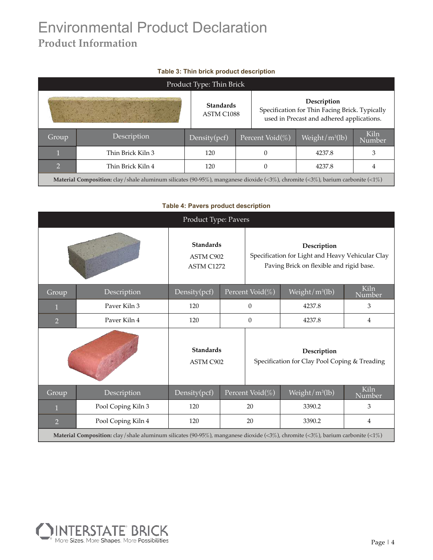# Environmental Product Declaration **Product Information**

|  |  |  |  | Table 3: Thin brick product description |
|--|--|--|--|-----------------------------------------|
|--|--|--|--|-----------------------------------------|

|            |                                                                                                                                      |  | Product Type: Thin Brick       |  |                                                                                                            |                    |                |  |  |  |  |  |
|------------|--------------------------------------------------------------------------------------------------------------------------------------|--|--------------------------------|--|------------------------------------------------------------------------------------------------------------|--------------------|----------------|--|--|--|--|--|
|            |                                                                                                                                      |  | <b>Standards</b><br>ASTM C1088 |  | Description<br>Specification for Thin Facing Brick. Typically<br>used in Precast and adhered applications. |                    |                |  |  |  |  |  |
| Group      | Description                                                                                                                          |  | Density $(pcf)$                |  | Percent Void(%)                                                                                            | Weight/ $m^3$ (lb) | Kiln<br>Number |  |  |  |  |  |
|            | Thin Brick Kiln 3                                                                                                                    |  | 120                            |  |                                                                                                            | 4237.8             | 3              |  |  |  |  |  |
| $\bigcirc$ | Thin Brick Kiln 4                                                                                                                    |  | 120                            |  |                                                                                                            | 4237.8             | 4              |  |  |  |  |  |
|            | <b>Material Composition:</b> clay/shale aluminum silicates (90-95%), manganese dioxide (<3%), chromite (<3%), barium carbonite (<1%) |  |                                |  |                                                                                                            |                    |                |  |  |  |  |  |

### **Table 4: Pavers product description**

|                |                                                                                                                                      | Product Type: Pavers                               |                                |                                                                                                             |                                                              |                       |  |  |  |  |  |  |
|----------------|--------------------------------------------------------------------------------------------------------------------------------------|----------------------------------------------------|--------------------------------|-------------------------------------------------------------------------------------------------------------|--------------------------------------------------------------|-----------------------|--|--|--|--|--|--|
|                |                                                                                                                                      | <b>Standards</b><br>ASTM C902<br><b>ASTM C1272</b> |                                | Description<br>Specification for Light and Heavy Vehicular Clay<br>Paving Brick on flexible and rigid base. |                                                              |                       |  |  |  |  |  |  |
| Group          | Description                                                                                                                          | Density(pcf)                                       |                                | Percent Void(%)                                                                                             | Weight/m <sup>3</sup> (lb)                                   | <b>Kiln</b><br>Number |  |  |  |  |  |  |
|                | Paver Kiln 3                                                                                                                         | 120                                                |                                | $\overline{0}$                                                                                              | 4237.8                                                       | 3                     |  |  |  |  |  |  |
| $\overline{2}$ | Paver Kiln 4                                                                                                                         | 120                                                |                                | $\theta$                                                                                                    | 4237.8<br>4                                                  |                       |  |  |  |  |  |  |
|                |                                                                                                                                      | <b>Standards</b><br>ASTM C902                      |                                |                                                                                                             | Description<br>Specification for Clay Pool Coping & Treading |                       |  |  |  |  |  |  |
| Group          | Description                                                                                                                          | Density(pcf)                                       |                                | Percent Void(%)                                                                                             | Weight/m <sup>3</sup> (lb)                                   | Kiln<br>Number        |  |  |  |  |  |  |
|                | Pool Coping Kiln 3                                                                                                                   | 120                                                |                                | 20                                                                                                          | 3390.2                                                       | 3                     |  |  |  |  |  |  |
| $\overline{2}$ | Pool Coping Kiln 4                                                                                                                   | 120                                                | 20<br>3390.2<br>$\overline{4}$ |                                                                                                             |                                                              |                       |  |  |  |  |  |  |
|                | <b>Material Composition:</b> clay/shale aluminum silicates (90-95%), manganese dioxide (<3%), chromite (<3%), barium carbonite (<1%) |                                                    |                                |                                                                                                             |                                                              |                       |  |  |  |  |  |  |

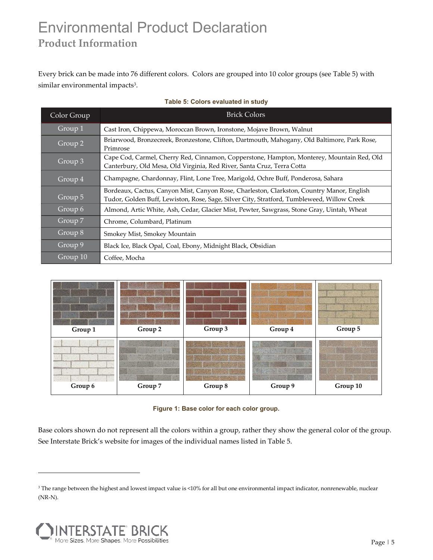# Environmental Product Declaration **Product Information**

Every brick can be made into 76 different colors. Colors are grouped into 10 color groups (see Table 5) with similar environmental impacts<sup>3</sup>.

| Color Group        | <b>Brick Colors</b>                                                                                                                                                                     |
|--------------------|-----------------------------------------------------------------------------------------------------------------------------------------------------------------------------------------|
| Group 1            | Cast Iron, Chippewa, Moroccan Brown, Ironstone, Mojave Brown, Walnut                                                                                                                    |
| $Group\;2$         | Briarwood, Bronzecreek, Bronzestone, Clifton, Dartmouth, Mahogany, Old Baltimore, Park Rose,<br>Primrose                                                                                |
| Group 3            | Cape Cod, Carmel, Cherry Red, Cinnamon, Copperstone, Hampton, Monterey, Mountain Red, Old<br>Canterbury, Old Mesa, Old Virginia, Red River, Santa Cruz, Terra Cotta                     |
| Group 4            | Champagne, Chardonnay, Flint, Lone Tree, Marigold, Ochre Buff, Ponderosa, Sahara                                                                                                        |
| Group 5            | Bordeaux, Cactus, Canyon Mist, Canyon Rose, Charleston, Clarkston, Country Manor, English<br>Tudor, Golden Buff, Lewiston, Rose, Sage, Silver City, Stratford, Tumbleweed, Willow Creek |
| Group 6            | Almond, Artic White, Ash, Cedar, Glacier Mist, Pewter, Sawgrass, Stone Gray, Uintah, Wheat                                                                                              |
| Group $7$          | Chrome, Columbard, Platinum                                                                                                                                                             |
| Group 8            | Smokey Mist, Smokey Mountain                                                                                                                                                            |
| Group <sub>9</sub> | Black Ice, Black Opal, Coal, Ebony, Midnight Black, Obsidian                                                                                                                            |
| Group 10           | Coffee, Mocha                                                                                                                                                                           |

### **Table 5: Colors evaluated in study**



**Figure 1: Base color for each color group.** 

Base colors shown do not represent all the colors within a group, rather they show the general color of the group. See Interstate Brick's website for images of the individual names listed in Table 5.

<sup>&</sup>lt;sup>3</sup> The range between the highest and lowest impact value is <10% for all but one environmental impact indicator, nonrenewable, nuclear (NR-N).

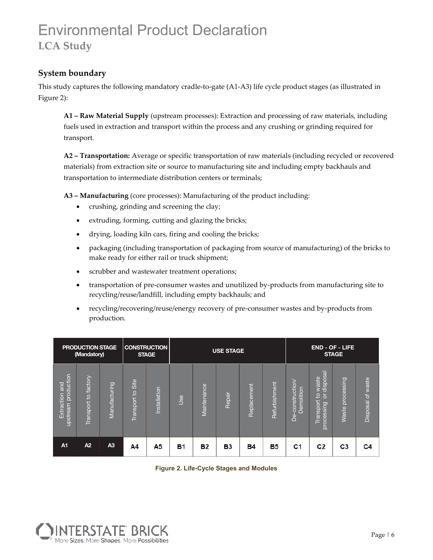### **System boundary**

This study captures the following mandatory cradle-to-gate (A1-A3) life cycle product stages (as illustrated in Figure 2):

**A1 – Raw Material Supply** (upstream processes): Extraction and processing of raw materials, including fuels used in extraction and transport within the process and any crushing or grinding required for transport.

**A2 – Transportation:** Average or specific transportation of raw materials (including recycled or recovered materials) from extraction site or source to manufacturing site and including empty backhauls and transportation to intermediate distribution centers or terminals;

**A3 – Manufacturing** (core processes): Manufacturing of the product including:

- crushing, grinding and screening the clay;
- extruding, forming, cutting and glazing the bricks;
- drying, loading kiln cars, firing and cooling the bricks;
- packaging (including transportation of packaging from source of manufacturing) of the bricks to make ready for either rail or truck shipment;
- scrubber and wastewater treatment operations;
- transportation of pre-consumer wastes and unutilized by-products from manufacturing site to recycling/reuse/landfill, including empty backhauls; and
- recycling/recovering/reuse/energy recovery of pre-consumer wastes and by-products from production.

|                                              | <b>PRODUCTION STAGE</b><br>(Mandatory) |                |                   | <b>CONSTRUCTION</b><br><b>STAGE</b> |            |             | <b>USE STAGE</b> |             |               |                                         |                                                                                 | <b>END - OF - LIFE</b><br><b>STAGE</b> |                      |
|----------------------------------------------|----------------------------------------|----------------|-------------------|-------------------------------------|------------|-------------|------------------|-------------|---------------|-----------------------------------------|---------------------------------------------------------------------------------|----------------------------------------|----------------------|
| production<br>loug<br>Extraction<br>upstream | factory<br>$\overline{5}$<br>Transport | Manufacturing  | Transport to Site | Installation                        | <b>Use</b> | Maintenance | Repair           | Replacement | Refurbishment | construction<br>S<br>emolitic<br>Ŏ<br>၉ | disposal<br>waste<br>$\overline{5}$<br>$\overline{a}$<br>ransport<br>processing | processing<br><b>Waste</b>             | of waste<br>Disposal |
| A <sub>1</sub>                               | A2                                     | A <sub>3</sub> | A4                | A5                                  | <b>B1</b>  | <b>B2</b>   | B3               | <b>B4</b>   | <b>B5</b>     | C1                                      | C <sub>2</sub>                                                                  | C <sub>3</sub>                         | C4                   |

**Figure 2. Life-Cycle Stages and Modules**

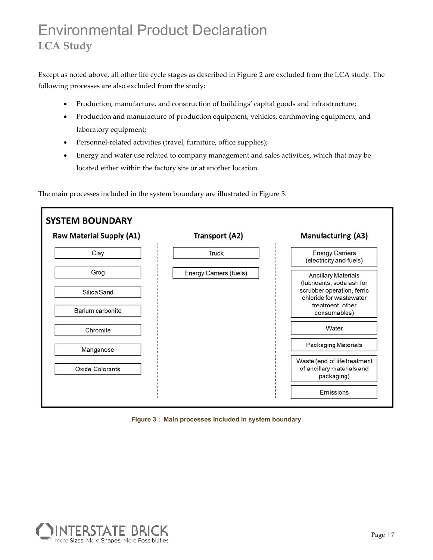Except as noted above, all other life cycle stages as described in Figure 2 are excluded from the LCA study. The following processes are also excluded from the study:

- Production, manufacture, and construction of buildings' capital goods and infrastructure;
- Production and manufacture of production equipment, vehicles, earthmoving equipment, and laboratory equipment;
- Personnel-related activities (travel, furniture, office supplies);
- Energy and water use related to company management and sales activities, which that may be located either within the factory site or at another location.

The main processes included in the system boundary are illustrated in Figure 3.



**Figure 3 : Main processes included in system boundary**

![](_page_6_Picture_9.jpeg)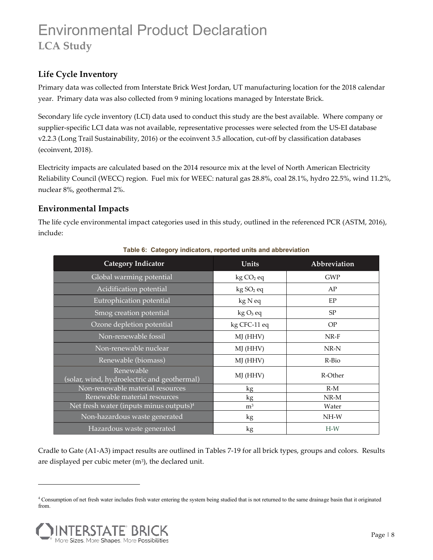### **Life Cycle Inventory**

Primary data was collected from Interstate Brick West Jordan, UT manufacturing location for the 2018 calendar year. Primary data was also collected from 9 mining locations managed by Interstate Brick.

Secondary life cycle inventory (LCI) data used to conduct this study are the best available. Where company or supplier-specific LCI data was not available, representative processes were selected from the US-EI database v2.2.3 (Long Trail Sustainability, 2016) or the ecoinvent 3.5 allocation, cut-off by classification databases (ecoinvent, 2018).

Electricity impacts are calculated based on the 2014 resource mix at the level of North American Electricity Reliability Council (WECC) region. Fuel mix for WEEC: natural gas 28.8%, coal 28.1%, hydro 22.5%, wind 11.2%, nuclear 8%, geothermal 2%.

### **Environmental Impacts**

The life cycle environmental impact categories used in this study, outlined in the referenced PCR (ASTM, 2016), include:

| <b>Category Indicator</b>                                | Units                 | Abbreviation |
|----------------------------------------------------------|-----------------------|--------------|
| Global warming potential                                 | kg CO <sub>2</sub> eq | <b>GWP</b>   |
| Acidification potential                                  | kg SO <sub>2</sub> eq | AP           |
| Eutrophication potential                                 | kg N eq               | EP           |
| Smog creation potential                                  | $kgO3$ eq             | SP           |
| Ozone depletion potential                                | kg CFC-11 eq          | OP           |
| Non-renewable fossil                                     | MJ (HHV)              | $NR-F$       |
| Non-renewable nuclear                                    | MJ (HHV)              | $NR-N$       |
| Renewable (biomass)                                      | MJ (HHV)              | R-Bio        |
| Renewable<br>(solar, wind, hydroelectric and geothermal) | MJ (HHV)              | R-Other      |
| Non-renewable material resources                         | kg                    | $R-M$        |
| Renewable material resources                             | kg                    | $NR-M$       |
| Net fresh water (inputs minus outputs) $4$               | m <sup>3</sup>        | Water        |
| Non-hazardous waste generated                            | kg                    | NH-W         |
| Hazardous waste generated                                | kg                    | $H-W$        |

### **Table 6: Category indicators, reported units and abbreviation**

Cradle to Gate (A1-A3) impact results are outlined in Tables 7-19 for all brick types, groups and colors. Results are displayed per cubic meter  $(m<sup>3</sup>)$ , the declared unit.

<sup>4</sup> Consumption of net fresh water includes fresh water entering the system being studied that is not returned to the same drainage basin that it originated from.

![](_page_7_Picture_11.jpeg)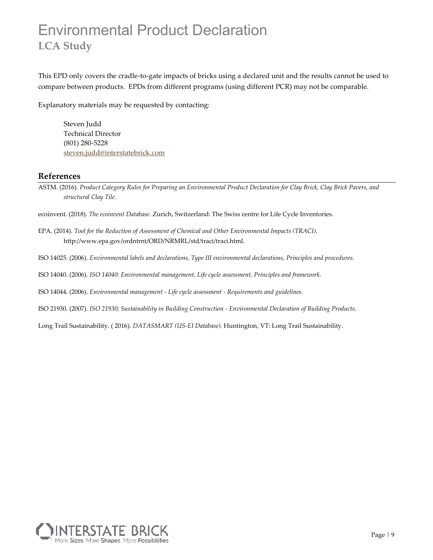This EPD only covers the cradle-to-gate impacts of bricks using a declared unit and the results cannot be used to compare between products. EPDs from different programs (using different PCR) may not be comparable.

Explanatory materials may be requested by contacting:

Steven Judd Technical Director (801) 280-5228 steven.judd@interstatebrick.com

### **References**

ASTM. (2016). *Product Category Rules for Preparing an Environmental Product Declaration for Clay Brick, Clay Brick Pavers, and structural Clay Tile.*

ecoinvent. (2018). *The ecoinvent Database.* Zurich, Switzerland: The Swiss centre for Life Cycle Inventories.

- EPA. (2014). *Tool for the Reduction of Assessment of Chemical and Other Environmental Impacts (TRACI).* http://www.epa.gov/ordntrnt/ORD/NRMRL/std/traci/traci.html.
- ISO 14025. (2006). *Environmental labels and declarations, Type III environmental declarations, Principles and procedures.*
- ISO 14040. (2006). *ISO 14040: Environmental management, Life cycle assessment, Principles and framework.*

ISO 14044. (2006). *Environmental management - Life cycle assessment - Requirements and guidelines.*

ISO 21930. (2007). *ISO 21930; Sustainability in Building Construction - Environmental Declaration of Building Products.*

Long Trail Sustainability. ( 2016). *DATASMART (US-EI Database).* Huntington, VT: Long Trail Sustainability.

![](_page_8_Picture_13.jpeg)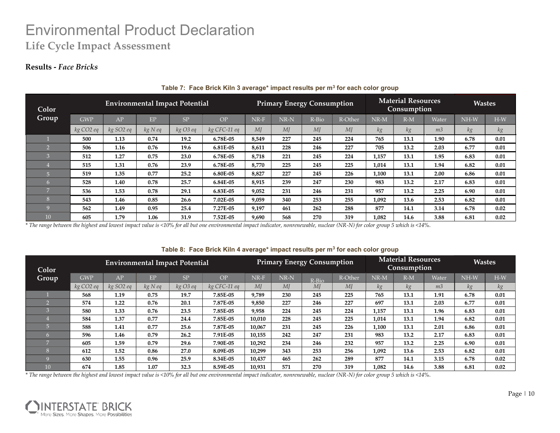### **Results -** *Face Bricks*

| Color          |                       | <b>Environmental Impact Potential</b> |         |          |              |        |                | <b>Primary Energy Consumption</b> |         |        | <b>Material Resources</b><br>Consumption |                | <b>Wastes</b> |       |
|----------------|-----------------------|---------------------------------------|---------|----------|--------------|--------|----------------|-----------------------------------|---------|--------|------------------------------------------|----------------|---------------|-------|
| Group          | <b>GWP</b>            | AP                                    | EP      | SP       | <b>OP</b>    | $NR-F$ | NR-N           | R-Bio                             | R-Other | $NR-M$ | $R-M$                                    | Water          | $NH-W$        | $H-W$ |
|                | kg CO <sub>2</sub> eq | kg SO2 eq                             | kg N eq | kg O3 eq | kg CFC-11 eq | MI     | M <sub>I</sub> | MI                                | MI      | kg     | kg                                       | m <sub>3</sub> | kg            | kg    |
|                | 500                   | 1.13                                  | 0.74    | 19.2     | 6.78E-05     | 8,549  | 227            | 245                               | 224     | 765    | 13.1                                     | 1.90           | 6.78          | 0.01  |
| G              | 506                   | 1.16                                  | 0.76    | 19.6     | 6.81E-05     | 8,611  | 228            | 246                               | 227     | 705    | 13.2                                     | 2.03           | 6.77          | 0.01  |
| $\sqrt{2}$     | 512                   | 1.27                                  | 0.75    | 23.0     | 6.78E-05     | 8,718  | 221            | 245                               | 224     | 1,157  | 13.1                                     | 1.95           | 6.83          | 0.01  |
|                | 515                   | 1.31                                  | 0.76    | 23.9     | 6.78E-05     | 8,770  | 225            | 245                               | 225     | 1,014  | 13.1                                     | 1.94           | 6.82          | 0.01  |
| $\overline{a}$ | 519                   | 1.35                                  | 0.77    | 25.2     | 6.80E-05     | 8,827  | 227            | 245                               | 226     | 1,100  | 13.1                                     | 2.00           | 6.86          | 0.01  |
| הו             | 528                   | 1.40                                  | 0.78    | 25.7     | 6.84E-05     | 8,915  | 239            | 247                               | 230     | 983    | 13.2                                     | 2.17           | 6.83          | 0.01  |
| $\overline{ }$ | 536                   | 1.53                                  | 0.78    | 29.1     | 6.83E-05     | 9,052  | 231            | 246                               | 231     | 957    | 13.2                                     | 2.25           | 6.90          | 0.01  |
| $\circ$<br>m   | 543                   | 1.46                                  | 0.85    | 26.6     | 7.02E-05     | 9,059  | 340            | 253                               | 255     | 1.092  | 13.6                                     | 2.53           | 6.82          | 0.01  |
| $\Omega$       | 562                   | 1.49                                  | 0.95    | 25.4     | 7.27E-05     | 9,197  | 461            | 262                               | 288     | 877    | 14.1                                     | 3.14           | 6.78          | 0.02  |
| 10             | 605                   | 1.79                                  | 1.06    | 31.9     | 7.52E-05     | 9,690  | 568            | 270                               | 319     | 1,082  | 14.6                                     | 3.88           | 6.81          | 0.02  |

#### **Table 7: Face Brick Kiln 3 average\* impact results per m3 for each color group**

*\* The range between the highest and lowest impact value is <10% for all but one environmental impact indicator, nonrenewable, nuclear (NR-N) for color group 5 which is <14%.*

#### Color Group **Group** Environmental Impact Potential Primary Energy Consumption Material Resources **Environmental Impact Potential Primary Energy Consumption Material Resources Wastes** Consumption Wastes **Consumption GWP AP EP SP OP NR-F NR-N R-Bio R-Other NR-M R-M Water NH-W H-W** *kg CO2 eq kg SO2 eq kg N eq kg O3 eq kg CFC-11 eq MJ MJ MJ MJ kg kg m3 kg kg* 1 **568 1.19 0.75 19.7 7.85E-05 9,789 230 245 225 765 13.1 1.91 6.78 0.01** 2 **574 1.22 0.76 20.1 7.87E-05 9,850 227 246 227 697 13.1 2.03 6.77 0.01** 3 **580 1.33 0.76 23.5 7.85E-05 9,958 224 245 224 1,157 13.1 1.96 6.83 0.01** 4 **584 1.37 0.77 24.4 7.85E-05 10,010 228 245 225 1,014 13.1 1.94 6.82 0.01** 5 **588 1.41 0.77 25.6 7.87E-05 10,067 231 245 226 1,100 13.1 2.01 6.86 0.01** 6 **596 1.46 0.79 26.2 7.91E-05 10,155 242 247 231 983 13.2 2.17 6.83 0.01** 7 **605 1.59 0.79 29.6 7.90E-05 10,292 234 246 232 957 13.2 2.25 6.90 0.01** 8 **612 1.52 0.86 27.0 8.09E-05 10,299 343 253 256 1,092 13.6 2.53 6.82 0.01** 9 **630 1.55 0.96 25.9 8.34E-05 10,437 465 262 289 877 14.1 3.15 6.78 0.02** 10 **674 1.85 1.07 32.3 8.59E-05 10,931 571 270 319 1,082 14.6 3.88 6.81 0.02 Color**  GWP AP EP SP OP NR-F NR-N R-Bio R-Other NR-M R-M Water NH-W H-W *kg CO2 eq kg SO2 eq kg N eq kg O3 eq kg CFC-11 eq MJ MJ MJ MJ kg kg m3 kg kg*

#### **Table 8: Face Brick Kiln 4 average\* impact results per m3 for each color group**

![](_page_9_Picture_8.jpeg)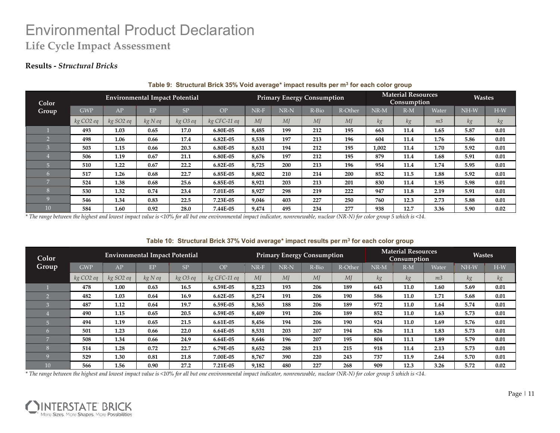### **Results -** *Structural Bricks*

| Color          |                       | <b>Environmental Impact Potential</b> |         |          |              |       |                | <b>Primary Energy Consumption</b> |         | <b>Material Resources</b><br><b>Consumption</b> |       |                | <b>Wastes</b> |       |
|----------------|-----------------------|---------------------------------------|---------|----------|--------------|-------|----------------|-----------------------------------|---------|-------------------------------------------------|-------|----------------|---------------|-------|
| Group          | <b>GWP</b>            | $\overline{AP}$                       | EP      | SP       | OP           | NR-F  | NR-N           | R-Bio                             | R-Other | NR-M                                            | $R-M$ | Water          | NH-W          | $H-W$ |
|                | kg CO <sub>2</sub> eq | kg SO2 eq                             | kg N eq | kg O3 eq | kg CFC-11 eq | MI    | M <sub>I</sub> | MI                                | MI      | kg                                              | kg    | m <sub>3</sub> | kg            | kg    |
|                | 493                   | 1.03                                  | 0.65    | 17.0     | 6.80E-05     | 8,485 | 199            | 212                               | 195     | 663                                             | 11.4  | 1.65           | 5.87          | 0.01  |
|                | 498                   | 1.06                                  | 0.66    | 17.4     | 6.82E-05     | 8,538 | 197            | 213                               | 196     | 604                                             | 11.4  | 1.76           | 5.86          | 0.01  |
|                | 503                   | 1.15                                  | 0.66    | 20.3     | 6.80E-05     | 8,631 | 194            | 212                               | 195     | 1,002                                           | 11.4  | 1.70           | 5.92          | 0.01  |
|                | 506                   | 1.19                                  | 0.67    | 21.1     | 6.80E-05     | 8,676 | 197            | 212                               | 195     | 879                                             | 11.4  | 1.68           | 5.91          | 0.01  |
|                | 510                   | 1.22                                  | 0.67    | 22.2     | 6.82E-05     | 8,725 | 200            | 213                               | 196     | 954                                             | 11.4  | 1.74           | 5.95          | 0.01  |
|                | 517                   | 1.26                                  | 0.68    | 22.7     | 6.85E-05     | 8,802 | 210            | 214                               | 200     | 852                                             | 11.5  | 1.88           | 5.92          | 0.01  |
| $\overline{7}$ | 524                   | 1.38                                  | 0.68    | 25.6     | 6.85E-05     | 8,921 | 203            | 213                               | 201     | 830                                             | 11.4  | 1.95           | 5.98          | 0.01  |
|                | 530                   | 1.32                                  | 0.74    | 23.4     | 7.01E-05     | 8,927 | 298            | 219                               | 222     | 947                                             | 11.8  | 2.19           | 5.91          | 0.01  |
|                | 546                   | 1.34                                  | 0.83    | 22.5     | 7.23E-05     | 9,046 | 403            | 227                               | 250     | 760                                             | 12.3  | 2.73           | 5.88          | 0.01  |
| 10             | 584                   | 1.60                                  | 0.92    | 28.0     | 7.44E-05     | 9,474 | 495            | 234                               | 277     | 938                                             | 12.7  | 3.36           | 5.90          | 0.02  |

#### **Table 9: Structural Brick 35% Void average\* impact results per m3 for each color group**

*\* The range between the highest and lowest impact value is <10% for all but one environmental impact indicator, nonrenewable, nuclear (NR-N) for color group 5 which is <14.*

#### **Table 10: Structural Brick 37% Void average\* impact results per m3 for each color group**

| Color          |                       | <b>Environmental Impact Potential</b> |         |           |              |        |                   | <b>Primary Energy Consumption</b> |         |                    | <b>Material Resources</b><br>Consumption |                | <b>Wastes</b> |       |
|----------------|-----------------------|---------------------------------------|---------|-----------|--------------|--------|-------------------|-----------------------------------|---------|--------------------|------------------------------------------|----------------|---------------|-------|
| Group          | <b>GWP</b>            | A <sub>P</sub>                        | EP      | <b>SP</b> | OP           | $NR-F$ | $\rm NR\text{-}N$ | R-Bio                             | R-Other | $\rm{NR}\text{-}M$ | $R-M$                                    | Water          | $NH-W$        | $H-W$ |
|                | kg CO <sub>2</sub> eq | kg SO <sub>2</sub> eq                 | kg N eq | kg O3 eq  | kg CFC-11 eq | MI     | MI                | M                                 | MI      | kg                 | kg                                       | m <sub>3</sub> | kg            | kg    |
|                | 478                   | 1.00                                  | 0.63    | 16.5      | 6.59E-05     | 8,223  | 193               | 206                               | 189     | 643                | 11.0                                     | 1.60           | 5.69          | 0.01  |
|                | 482                   | 1.03                                  | 0.64    | 16.9      | 6.62E-05     | 8,274  | 191               | 206                               | 190     | 586                | 11.0                                     | 1.71           | 5.68          | 0.01  |
|                | 487                   | 1.12                                  | 0.64    | 19.7      | 6.59E-05     | 8,365  | 188               | 206                               | 189     | 972                | 11.0                                     | 1.64           | 5.74          | 0.01  |
|                | 490                   | 1.15                                  | 0.65    | 20.5      | 6.59E-05     | 8,409  | 191               | 206                               | 189     | 852                | 11.0                                     | 1.63           | 5.73          | 0.01  |
|                | 494                   | 1.19                                  | 0.65    | 21.5      | 6.61E-05     | 8,456  | 194               | 206                               | 190     | 924                | 11.0                                     | 1.69           | 5.76          | 0.01  |
| 6              | 501                   | 1.23                                  | 0.66    | 22.0      | 6.64E-05     | 8,531  | 203               | 207                               | 194     | 826                | 11.1                                     | 1.83           | 5.73          | 0.01  |
| $\overline{ }$ | 508                   | 1.34                                  | 0.66    | 24.9      | 6.64E-05     | 8,646  | 196               | 207                               | 195     | 804                | 11.1                                     | 1.89           | 5.79          | 0.01  |
| r.             | 514                   | 1.28                                  | 0.72    | 22.7      | 6.79E-05     | 8,652  | 288               | 213                               | 215     | 918                | 11.4                                     | 2.13           | 5.73          | 0.01  |
|                | 529                   | 1.30                                  | 0.81    | 21.8      | 7.00E-05     | 8,767  | 390               | 220                               | 243     | 737                | 11.9                                     | 2.64           | 5.70          | 0.01  |
| 10             | 566                   | 1.56                                  | 0.90    | 27.2      | 7.21E-05     | 9,182  | 480               | 227                               | 268     | 909                | 12.3                                     | 3.26           | 5.72          | 0.02  |

![](_page_10_Picture_8.jpeg)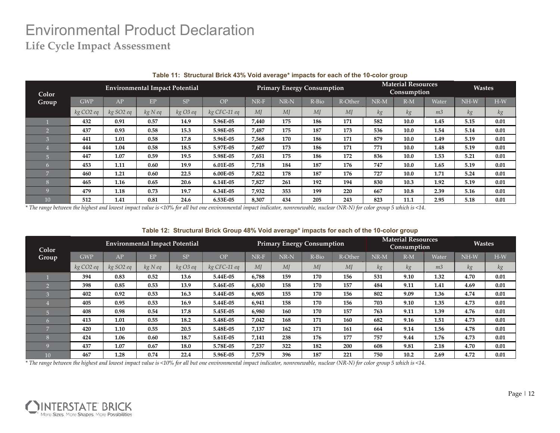|                 | Table 11: Structural Brick 43% Void average* impacts for each of the 10-color group |                       |                                       |          |                                                                                                                                                                           |       |      |                                   |         |                                          |       |                |        |       |
|-----------------|-------------------------------------------------------------------------------------|-----------------------|---------------------------------------|----------|---------------------------------------------------------------------------------------------------------------------------------------------------------------------------|-------|------|-----------------------------------|---------|------------------------------------------|-------|----------------|--------|-------|
| Color           |                                                                                     |                       | <b>Environmental Impact Potential</b> |          |                                                                                                                                                                           |       |      | <b>Primary Energy Consumption</b> |         | <b>Material Resources</b><br>Consumption |       | <b>Wastes</b>  |        |       |
| Group           | <b>GWP</b>                                                                          | AP                    | <b>EP</b>                             | SP       | OP <sub>1</sub>                                                                                                                                                           | NR-F  | NR-N | R-Bio                             | R-Other | $NR-M$                                   | $R-M$ | Water          | $NH-W$ | $H-W$ |
|                 | kg CO <sub>2</sub> eq                                                               | kg SO <sub>2</sub> eq | $kg$ N eq                             | kg O3 eq | kg CFC-11 eq                                                                                                                                                              | MI    | MI   | MI                                | MJ      | kg                                       | kg    | m <sub>3</sub> | kg     | kg    |
|                 | 432                                                                                 | 0.91                  | 0.57                                  | 14.9     | 5.96E-05                                                                                                                                                                  | 7,440 | 175  | 186                               | 171     | 582                                      | 10.0  | 1.45           | 5.15   | 0.01  |
|                 | 437                                                                                 | 0.93                  | 0.58                                  | 15.3     | 5.98E-05                                                                                                                                                                  | 7,487 | 175  | 187                               | 173     | 536                                      | 10.0  | 1.54           | 5.14   | 0.01  |
|                 | 441                                                                                 | 1.01                  | 0.58                                  | 17.8     | 5.96E-05                                                                                                                                                                  | 7,568 | 170  | 186                               | 171     | 879                                      | 10.0  | 1.49           | 5.19   | 0.01  |
|                 | 444                                                                                 | 1.04                  | 0.58                                  | 18.5     | 5.97E-05                                                                                                                                                                  | 7,607 | 173  | 186                               | 171     | 771                                      | 10.0  | 1.48           | 5.19   | 0.01  |
|                 | 447                                                                                 | 1.07                  | 0.59                                  | 19.5     | 5.98E-05                                                                                                                                                                  | 7,651 | 175  | 186                               | 172     | 836                                      | 10.0  | 1.53           | 5.21   | 0.01  |
| 6               | 453                                                                                 | 1.11                  | 0.60                                  | 19.9     | 6.01E-05                                                                                                                                                                  | 7,718 | 184  | 187                               | 176     | 747                                      | 10.0  | 1.65           | 5.19   | 0.01  |
|                 | 460                                                                                 | 1.21                  | 0.60                                  | 22.5     | 6.00E-05                                                                                                                                                                  | 7,822 | 178  | 187                               | 176     | 727                                      | 10.0  | 1.71           | 5.24   | 0.01  |
| 8               | 465                                                                                 | 1.16                  | 0.65                                  | 20.6     | $6.14E-05$                                                                                                                                                                | 7,827 | 261  | 192                               | 194     | 830                                      | 10.3  | 1.92           | 5.19   | 0.01  |
|                 | 479                                                                                 | 1.18                  | 0.73                                  | 19.7     | 6.34E-05                                                                                                                                                                  | 7,932 | 353  | 199                               | 220     | 667                                      | 10.8  | 2.39           | 5.16   | 0.01  |
| 10 <sup>1</sup> | 512                                                                                 | 1.41                  | 0.81                                  | 24.6     | 6.53E-05                                                                                                                                                                  | 8,307 | 434  | 205                               | 243     | 823                                      | 11.1  | 2.95           | 5.18   | 0.01  |
|                 |                                                                                     |                       |                                       |          | The range between the highest and lowest impact value is <10% for all but one environmental impact indicator nonrepervable, nuclear (NR-N) for color group 5 which is <14 |       |      |                                   |         |                                          |       |                |        |       |

*\* The range between the highest and lowest impact value is <10% for all but one environmental impact indicator, nonrenewable, nuclear (NR-N) for color group 5 which is <14.*

#### **Table 12: Structural Brick Group 48% Void average\* impacts for each of the 10-color group**

| Color          |                       |                       | <b>Environmental Impact Potential</b> |          | <b>Primary Energy Consumption</b> |        |      |                | <b>Material Resources</b><br>Consumption |        |       | <b>Wastes</b>  |        |       |
|----------------|-----------------------|-----------------------|---------------------------------------|----------|-----------------------------------|--------|------|----------------|------------------------------------------|--------|-------|----------------|--------|-------|
| Group          | <b>GWP</b>            | AP                    | EP                                    | SP.      | OP                                | $NR-F$ | NR-N | R-Bio          | R-Other                                  | $NR-M$ | $R-M$ | Water          | $NH-W$ | $H-W$ |
|                | kg CO <sub>2</sub> eq | kg SO <sub>2</sub> eq | kgNeq                                 | kg O3 eq | kg CFC-11 eq                      | MI     | M    | M <sub>I</sub> | M                                        | kg     | kg    | m <sub>3</sub> | kg     | kg    |
|                | 394                   | 0.83                  | 0.52                                  | 13.6     | 5.44E-05                          | 6,788  | 159  | 170            | 156                                      | 531    | 9.10  | 1.32           | 4.70   | 0.01  |
|                | 398                   | 0.85                  | 0.53                                  | 13.9     | 5.46E-05                          | 6,830  | 158  | 170            | 157                                      | 484    | 9.11  | 1.41           | 4.69   | 0.01  |
|                | 402                   | 0.92                  | 0.53                                  | 16.3     | 5.44E-05                          | 6,905  | 155  | 170            | 156                                      | 802    | 9.09  | 1.36           | 4.74   | 0.01  |
|                | 405                   | 0.95                  | 0.53                                  | 16.9     | 5.44E-05                          | 6,941  | 158  | 170            | 156                                      | 703    | 9.10  | 1.35           | 4.73   | 0.01  |
| $\overline{a}$ | 408                   | 0.98                  | 0.54                                  | 17.8     | 5.45E-05                          | 6,980  | 160  | 170            | 157                                      | 763    | 9.11  | 1.39           | 4.76   | 0.01  |
| 6              | 413                   | 1.01                  | 0.55                                  | 18.2     | 5.48E-05                          | 7,042  | 168  | 171            | 160                                      | 682    | 9.16  | 1.51           | 4.73   | 0.01  |
| $\overline{ }$ | 420                   | 1.10                  | 0.55                                  | 20.5     | 5.48E-05                          | 7,137  | 162  | 171            | 161                                      | 664    | 9.14  | 1.56           | 4.78   | 0.01  |
| n              | 424                   | 1.06                  | 0.60                                  | 18.7     | 5.61E-05                          | 7,141  | 238  | 176            | 177                                      | 757    | 9.44  | 1.76           | 4.73   | 0.01  |
|                | 437                   | 1.07                  | 0.67                                  | 18.0     | 5.78E-05                          | 7,237  | 322  | 182            | 200                                      | 608    | 9.81  | 2.18           | 4.70   | 0.01  |
| 10             | 467                   | 1.28                  | 0.74                                  | 22.4     | 5.96E-05                          | 7,579  | 396  | 187            | 221                                      | 750    | 10.2  | 2.69           | 4.72   | 0.01  |

![](_page_11_Picture_7.jpeg)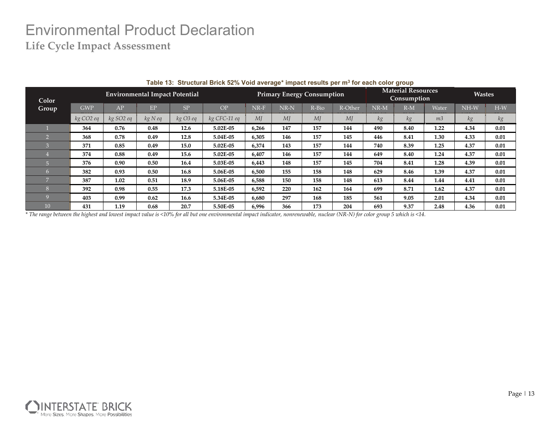|              |                       |                       |                                       |          | Table 15. Structural Brick 32% void average Thipact results per Inf Tor each color group |                                   |        |       |         |                                                 |       |                |               |       |
|--------------|-----------------------|-----------------------|---------------------------------------|----------|------------------------------------------------------------------------------------------|-----------------------------------|--------|-------|---------|-------------------------------------------------|-------|----------------|---------------|-------|
| Color        |                       |                       | <b>Environmental Impact Potential</b> |          |                                                                                          | <b>Primary Energy Consumption</b> |        |       |         | <b>Material Resources</b><br><b>Consumption</b> |       |                | <b>Wastes</b> |       |
| <b>Group</b> | <b>GWP</b>            | AP                    | EP                                    | SP       | OP                                                                                       | $NR-F$                            | $NR-N$ | R-Bio | R-Other | $NR-M$                                          | $R-M$ | Water          | $NH-W$        | $H-W$ |
|              | kg CO <sub>2</sub> eq | kg SO <sub>2</sub> eq | kgNeq                                 | kg O3 eq | kg CFC-11 eq                                                                             | MI                                | MI     | MI    | MI      | кg                                              | kg    | m <sub>3</sub> | kg            | kg    |
|              | 364                   | 0.76                  | 0.48                                  | 12.6     | 5.02E-05                                                                                 | 6,266                             | 147    | 157   | 144     | 490                                             | 8.40  | 1.22           | 4.34          | 0.01  |
|              | 368                   | 0.78                  | 0.49                                  | 12.8     | 5.04E-05                                                                                 | 6,305                             | 146    | 157   | 145     | 446                                             | 8.41  | 1.30           | 4.33          | 0.01  |
|              | 371                   | 0.85                  | 0.49                                  | 15.0     | 5.02E-05                                                                                 | 6,374                             | 143    | 157   | 144     | 740                                             | 8.39  | 1.25           | 4.37          | 0.01  |
|              | 374                   | 0.88                  | 0.49                                  | 15.6     | 5.02E-05                                                                                 | 6,407                             | 146    | 157   | 144     | 649                                             | 8.40  | 1.24           | 4.37          | 0.01  |
|              | 376                   | 0.90                  | 0.50                                  | 16.4     | 5.03E-05                                                                                 | 6,443                             | 148    | 157   | 145     | 704                                             | 8.41  | 1.28           | 4.39          | 0.01  |
|              | 382                   | 0.93                  | 0.50                                  | 16.8     | 5.06E-05                                                                                 | 6,500                             | 155    | 158   | 148     | 629                                             | 8.46  | 1.39           | 4.37          | 0.01  |
|              | 387                   | 1.02                  | 0.51                                  | 18.9     | 5.06E-05                                                                                 | 6,588                             | 150    | 158   | 148     | 613                                             | 8.44  | 1.44           | 4.41          | 0.01  |
|              | 392                   | 0.98                  | 0.55                                  | 17.3     | 5.18E-05                                                                                 | 6,592                             | 220    | 162   | 164     | 699                                             | 8.71  | 1.62           | 4.37          | 0.01  |
|              | 403                   | 0.99                  | 0.62                                  | 16.6     | 5.34E-05                                                                                 | 6,680                             | 297    | 168   | 185     | 561                                             | 9.05  | 2.01           | 4.34          | 0.01  |
| 10           | 431                   | 1.19                  | 0.68                                  | 20.7     | 5.50E-05                                                                                 | 6,996                             | 366    | 173   | 204     | 693                                             | 9.37  | 2.48           | 4.36          | 0.01  |

|  |  |  |  |  |  | Table 13: Structural Brick 52% Void average* impact results per m <sup>3</sup> for each color group |
|--|--|--|--|--|--|-----------------------------------------------------------------------------------------------------|
|--|--|--|--|--|--|-----------------------------------------------------------------------------------------------------|

![](_page_12_Picture_4.jpeg)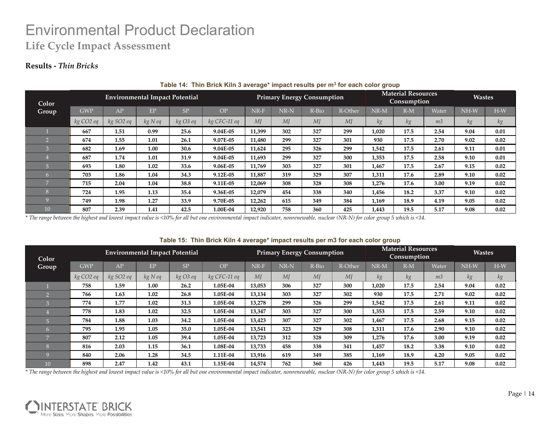### **Results -** *Thin Bricks*

| Color          |                       | <b>Environmental Impact Potential</b> |         |          |              |        |        | <b>Primary Energy Consumption</b> |         |        |       | <b>Material Resources</b><br>Consumption |        |       |
|----------------|-----------------------|---------------------------------------|---------|----------|--------------|--------|--------|-----------------------------------|---------|--------|-------|------------------------------------------|--------|-------|
| Group          | <b>GWP</b>            | AP                                    | EP      | SP       | OP           | $NR-F$ | $NR-N$ | R-Bio                             | R-Other | $NR-M$ | $R-M$ | Water                                    | $NH-W$ | $H-W$ |
|                | kg CO <sub>2</sub> eq | $kg$ SO2 eq                           | kg N eq | kg O3 eq | kg CFC-11 eq | MI     | MJ     | MI                                | MI      | kg     | kg    | m <sub>3</sub>                           | kg     | kg    |
|                | 667                   | 1.51                                  | 0.99    | 25.6     | 9.04E-05     | 11,399 | 302    | 327                               | 299     | 1,020  | 17.5  | 2.54                                     | 9.04   | 0.01  |
|                | 674                   | 1.55                                  | 1.01    | 26.1     | 9.07E-05     | 11,480 | 299    | 327                               | 301     | 930    | 17.5  | 2.70                                     | 9.02   | 0.02  |
|                | 682                   | 1.69                                  | 1.00    | 30.6     | 9.04E-05     | 11,624 | 295    | 326                               | 299     | 1,542  | 17.5  | 2.61                                     | 9.11   | 0.01  |
|                | 687                   | 1.74                                  | 1.01    | 31.9     | 9.04E-05     | 11,693 | 299    | 327                               | 300     | 1,353  | 17.5  | 2.58                                     | 9.10   | 0.01  |
| $\overline{5}$ | 693                   | 1.80                                  | 1.02    | 33.6     | 9.06E-05     | 11,769 | 303    | 327                               | 301     | 1,467  | 17.5  | 2.67                                     | 9.15   | 0.02  |
|                | 703                   | 1.86                                  | 1.04    | 34.3     | 9.12E-05     | 11,887 | 319    | 329                               | 307     | 1,311  | 17.6  | 2.89                                     | 9.10   | 0.02  |
|                | 715                   | 2.04                                  | 1.04    | 38.8     | 9.11E-05     | 12,069 | 308    | 328                               | 308     | 1,276  | 17.6  | 3.00                                     | 9.19   | 0.02  |
|                | 724                   | 1.95                                  | 1.13    | 35.4     | 9.36E-05     | 12,079 | 454    | 338                               | 340     | 1,456  | 18.2  | 3.37                                     | 9.10   | 0.02  |
| $\Omega$       | 749                   | 1.98                                  | 1.27    | 33.9     | 9.70E-05     | 12,262 | 615    | 349                               | 384     | 1,169  | 18.9  | 4.19                                     | 9.05   | 0.02  |
| 10             | 807                   | 2.39                                  | 1.41    | 42.5     | 1.00E-04     | 12,920 | 758    | 360                               | 425     | 1,443  | 19.5  | 5.17                                     | 9.08   | 0.02  |

#### **Table 14: Thin Brick Kiln 3 average\* impact results per m3 for each color group**

*\* The range between the highest and lowest impact value is <10% for all but one environmental impact indicator, nonrenewable, nuclear (NR-N) for color group 5 which is <14.*

#### **Table 15: Thin Brick Kiln 4 average\* impact results per m3 for each color group**

| Color          |                       |                       | <b>Environmental Impact Potential</b> |           |              | <b>Primary Energy Consumption</b> |        |         |         | <b>Material Resources</b><br><b>Consumption</b> |       |                | <b>Wastes</b> |       |
|----------------|-----------------------|-----------------------|---------------------------------------|-----------|--------------|-----------------------------------|--------|---------|---------|-------------------------------------------------|-------|----------------|---------------|-------|
| Group          | <b>GWP</b>            | <b>AP</b>             | EP                                    | <b>SP</b> | OP           | NR-F                              | $NR-N$ | $R-Bio$ | R-Other | NR-M                                            | $R-M$ | Water          | $NH-W$        | $H-W$ |
|                | kg CO <sub>2</sub> eq | kg SO <sub>2</sub> eq | kgNeq                                 | kg O3 eq  | kg CFC-11 eq | MI                                | M      | M       | MI      | kg                                              | kg    | m <sub>3</sub> | kg            | kg    |
|                | 758                   | 1.59                  | 1.00                                  | 26.2      | 1.05E-04     | 13,053                            | 306    | 327     | 300     | 1,020                                           | 17.5  | 2.54           | 9.04          | 0.02  |
|                | 766                   | 1.63                  | 1.02                                  | 26.8      | 1.05E-04     | 13,134                            | 303    | 327     | 302     | 930                                             | 17.5  | 2.71           | 9.02          | 0.02  |
|                | 774                   | 1.77                  | 1.02                                  | 31.3      | 1.05E-04     | 13,278                            | 299    | 326     | 299     | 1,542                                           | 17.5  | 2.61           | 9.11          | 0.02  |
|                | 778                   | 1.83                  | 1.02                                  | 32.5      | 1.05E-04     | 13,347                            | 303    | 327     | 300     | 1,353                                           | 17.5  | 2.59           | 9.10          | 0.02  |
|                | 784                   | 1.88                  | 1.03                                  | 34.2      | 1.05E-04     | 13,423                            | 307    | 327     | 302     | 1,467                                           | 17.5  | 2.68           | 9.15          | 0.02  |
| 6              | 795                   | 1.95                  | 1.05                                  | 35.0      | 1.05E-04     | 13,541                            | 323    | 329     | 308     | 1,311                                           | 17.6  | 2.90           | 9.10          | 0.02  |
| $\overline{ }$ | 807                   | 2.12                  | 1.05                                  | 39.4      | 1.05E-04     | 13,723                            | 312    | 328     | 309     | 1,276                                           | 17.6  | 3.00           | 9.19          | 0.02  |
|                | 816                   | 2.03                  | 1.15                                  | 36.1      | 1.08E-04     | 13,733                            | 458    | 338     | 341     | 1,457                                           | 18.2  | 3.38           | 9.10          | 0.02  |
|                | 840                   | 2.06                  | 1.28                                  | 34.5      | 1.11E-04     | 13,916                            | 619    | 349     | 385     | 1,169                                           | 18.9  | 4.20           | 9.05          | 0.02  |
| 10             | 898                   | 2.47                  | 1.42                                  | 43.1      | 1.15E-04     | 14,574                            | 762    | 360     | 426     | 1,443                                           | 19.5  | 5.17           | 9.08          | 0.02  |

![](_page_13_Picture_8.jpeg)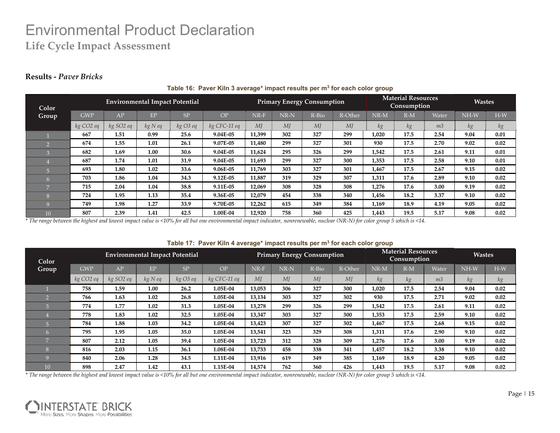### **Results -** *Paver Bricks*

| Color          |            |                       | <b>Environmental Impact Potential</b> |          |              | <b>Primary Energy Consumption</b> |        |       |         | <b>Material Resources</b><br><b>Consumption</b> |       |                | <b>Wastes</b> |       |
|----------------|------------|-----------------------|---------------------------------------|----------|--------------|-----------------------------------|--------|-------|---------|-------------------------------------------------|-------|----------------|---------------|-------|
| Group          | <b>GWP</b> | AP                    | EP                                    | SP       | OP           | NR-F                              | $NR-N$ | R-Bio | R-Other | $NR-M$                                          | $R-M$ | Water          | NH-W          | $H-W$ |
|                | kg CO2 eq  | kg SO <sub>2</sub> eq | $kg$ N eq                             | kg O3 eq | kg CFC-11 eq | MI                                | MI     | MI    | MI      | kg                                              | kg    | m <sub>3</sub> | kg            | kg    |
|                | 667        | 1.51                  | 0.99                                  | 25.6     | 9.04E-05     | 11,399                            | 302    | 327   | 299     | 1,020                                           | 17.5  | 2.54           | 9.04          | 0.01  |
|                | 674        | 1.55                  | 1.01                                  | 26.1     | 9.07E-05     | 11,480                            | 299    | 327   | 301     | 930                                             | 17.5  | 2.70           | 9.02          | 0.02  |
|                | 682        | 1.69                  | 1.00                                  | 30.6     | 9.04E-05     | 11,624                            | 295    | 326   | 299     | 1,542                                           | 17.5  | 2.61           | 9.11          | 0.01  |
|                | 687        | 1.74                  | 1.01                                  | 31.9     | 9.04E-05     | 11,693                            | 299    | 327   | 300     | 1,353                                           | 17.5  | 2.58           | 9.10          | 0.01  |
|                | 693        | 1.80                  | 1.02                                  | 33.6     | 9.06E-05     | 11,769                            | 303    | 327   | 301     | 1.467                                           | 17.5  | 2.67           | 9.15          | 0.02  |
| 6              | 703        | 1.86                  | 1.04                                  | 34.3     | 9.12E-05     | 11,887                            | 319    | 329   | 307     | 1,311                                           | 17.6  | 2.89           | 9.10          | 0.02  |
| $\overline{ }$ | 715        | 2.04                  | 1.04                                  | 38.8     | 9.11E-05     | 12,069                            | 308    | 328   | 308     | 1,276                                           | 17.6  | 3.00           | 9.19          | 0.02  |
| $\mathbf{R}$   | 724        | 1.95                  | 1.13                                  | 35.4     | 9.36E-05     | 12,079                            | 454    | 338   | 340     | 1,456                                           | 18.2  | 3.37           | 9.10          | 0.02  |
|                | 749        | 1.98                  | 1.27                                  | 33.9     | 9.70E-05     | 12,262                            | 615    | 349   | 384     | 1,169                                           | 18.9  | 4.19           | 9.05          | 0.02  |
| 10             | 807        | 2.39                  | 1.41                                  | 42.5     | 1.00E-04     | 12,920                            | 758    | 360   | 425     | 1,443                                           | 19.5  | 5.17           | 9.08          | 0.02  |

#### **Table 16: Paver Kiln 3 average\* impact results per m3 for each color group**

*\* The range between the highest and lowest impact value is <10% for all but one environmental impact indicator, nonrenewable, nuclear (NR-N) for color group 5 which is <14.*

| Color |                       |           | <b>Environmental Impact Potential</b> |                | ----         | <b>Primary Energy Consumption</b> |      |         |         |       | <b>Material Resources</b><br>Consumption |                |        | <b>Wastes</b> |  |
|-------|-----------------------|-----------|---------------------------------------|----------------|--------------|-----------------------------------|------|---------|---------|-------|------------------------------------------|----------------|--------|---------------|--|
| Group | <b>GWP</b>            | AP        | EP                                    | S <sub>P</sub> | OP           | NR-F                              | NR-N | $R-Bio$ | R-Other | NR-M  | $R-M$                                    | Water          | $NH-W$ | $H-W$         |  |
|       | kg CO <sub>2</sub> eq | kg SO2 eq | kgNeq                                 | kg O3 eq       | kg CFC-11 eq | MI                                | MI   | MI      | MI      | кg    | kg                                       | m <sub>3</sub> | кg     | кg            |  |
|       | 758                   | 1.59      | 1.00                                  | 26.2           | 1.05E-04     | 13,053                            | 306  | 327     | 300     | 1,020 | 17.5                                     | 2.54           | 9.04   | 0.02          |  |
|       | 766                   | 1.63      | 1.02                                  | 26.8           | 1.05E-04     | 13,134                            | 303  | 327     | 302     | 930   | 17.5                                     | 2.71           | 9.02   | 0.02          |  |
|       | 774                   | 1.77      | 1.02                                  | 31.3           | 1.05E-04     | 13,278                            | 299  | 326     | 299     | 1,542 | 17.5                                     | 2.61           | 9.11   | 0.02          |  |
|       | 778                   | 1.83      | 1.02                                  | 32.5           | 1.05E-04     | 13,347                            | 303  | 327     | 300     | 1,353 | 17.5                                     | 2.59           | 9.10   | 0.02          |  |
|       | 784                   | 1.88      | 1.03                                  | 34.2           | 1.05E-04     | 13,423                            | 307  | 327     | 302     | 1,467 | 17.5                                     | 2.68           | 9.15   | 0.02          |  |
| 467   | 795                   | 1.95      | 1.05                                  | 35.0           | 1.05E-04     | 13,541                            | 323  | 329     | 308     | 1,311 | 17.6                                     | 2.90           | 9.10   | 0.02          |  |
|       | 807                   | 2.12      | 1.05                                  | 39.4           | 1.05E-04     | 13,723                            | 312  | 328     | 309     | 1,276 | 17.6                                     | 3.00           | 9.19   | 0.02          |  |
|       | 816                   | 2.03      | 1.15                                  | 36.1           | 1.08E-04     | 13,733                            | 458  | 338     | 341     | 1,457 | 18.2                                     | 3.38           | 9.10   | 0.02          |  |
|       | 840                   | 2.06      | 1.28                                  | 34.5           | 1.11E-04     | 13,916                            | 619  | 349     | 385     | 1,169 | 18.9                                     | 4.20           | 9.05   | 0.02          |  |
| 10    | 898                   | 2.47      | 1.42                                  | 43.1           | 1.15E-04     | 14,574                            | 762  | 360     | 426     | 1,443 | 19.5                                     | 5.17           | 9.08   | 0.02          |  |

#### **Table 17: Paver Kiln 4 average\* impact results per m3 for each color group**

![](_page_14_Picture_8.jpeg)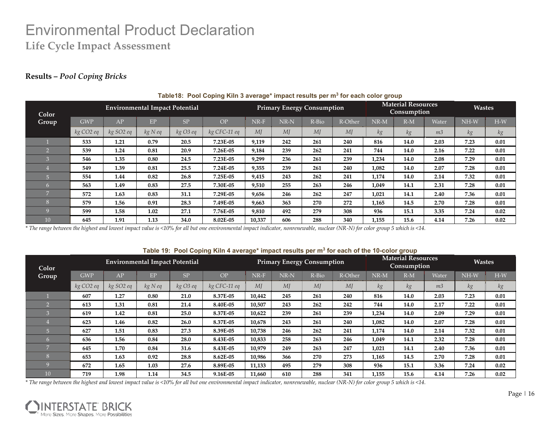### **Results –** *Pool Coping Bricks*

| Color           |                       |           | <b>Environmental Impact Potential</b> |            | -            | <b>Primary Energy Consumption</b> |                |       |         | <b>Material Resources</b><br><b>Consumption</b> |       |                | <b>Wastes</b> |       |
|-----------------|-----------------------|-----------|---------------------------------------|------------|--------------|-----------------------------------|----------------|-------|---------|-------------------------------------------------|-------|----------------|---------------|-------|
| Group           | <b>GWP</b>            | AP        | EP                                    | SP         | OP           | NR-F                              | NR-N           | R-Bio | R-Other | $NR-M$                                          | $R-M$ | Water          | NH-W          | $H-W$ |
|                 | kg CO <sub>2</sub> eq | kg SO2 eq | kg N eq                               | $kg$ O3 eq | kg CFC-11 eq | MI                                | M <sub>I</sub> | MI    | MI      | kg                                              | kg    | m <sub>3</sub> | kg            | kg    |
|                 | 533                   | 1.21      | 0.79                                  | 20.5       | 7.23E-05     | 9,119                             | 242            | 261   | 240     | 816                                             | 14.0  | 2.03           | 7.23          | 0.01  |
|                 | 539                   | 1.24      | 0.81                                  | 20.9       | 7.26E-05     | 9,184                             | 239            | 262   | 241     | 744                                             | 14.0  | 2.16           | 7.22          | 0.01  |
|                 | 546                   | 1.35      | 0.80                                  | 24.5       | 7.23E-05     | 9,299                             | 236            | 261   | 239     | 1,234                                           | 14.0  | 2.08           | 7.29          | 0.01  |
|                 | 549                   | 1.39      | 0.81                                  | 25.5       | 7.24E-05     | 9,355                             | 239            | 261   | 240     | 1,082                                           | 14.0  | 2.07           | 7.28          | 0.01  |
| 局               | 554                   | 1.44      | 0.82                                  | 26.8       | 7.25E-05     | 9,415                             | 243            | 262   | 241     | 1,174                                           | 14.0  | 2.14           | 7.32          | 0.01  |
| n               | 563                   | 1.49      | 0.83                                  | 27.5       | 7.30E-05     | 9,510                             | 255            | 263   | 246     | 1,049                                           | 14.1  | 2.31           | 7.28          | 0.01  |
| $\overline{ }$  | 572                   | 1.63      | 0.83                                  | 31.1       | 7.29E-05     | 9,656                             | 246            | 262   | 247     | 1,021                                           | 14.1  | 2.40           | 7.36          | 0.01  |
| m               | 579                   | 1.56      | 0.91                                  | 28.3       | 7.49E-05     | 9,663                             | 363            | 270   | 272     | 1,165                                           | 14.5  | 2.70           | 7.28          | 0.01  |
|                 | 599                   | 1.58      | 1.02                                  | 27.1       | 7.76E-05     | 9,810                             | 492            | 279   | 308     | 936                                             | 15.1  | 3.35           | 7.24          | 0.02  |
| 10 <sup>°</sup> | 645                   | 1.91      | 1.13                                  | 34.0       | 8.02E-05     | 10,337                            | 606            | 288   | 340     | 1,155                                           | 15.6  | 4.14           | 7.26          | 0.02  |

#### **Table18: Pool Coping Kiln 3 average\* impact results per m3 for each color group**

*\* The range between the highest and lowest impact value is <10% for all but one environmental impact indicator, nonrenewable, nuclear (NR-N) for color group 5 which is <14.*

#### **Table 19: Pool Coping Kiln 4 average\* impact results per m3 for each of the 10-color group** Group Primary Energy Consumption Consumption Wastes **Consumption GWP APPROX B EPP <b>EPP CP CP CP CP EPP EPP EPP EPP EPP EPP EPP EPP EPP EPP EPP EPP EPP EPP EPP EPP EPP EPP EPP EPP EPP EPP EPP EPP EP** *kg CO2 eq kg SO2 eq kg N eq kg O3 eq kg CFC-11 eq MJ MJ MJ MJ kg kg m3 kg kg* 1 **607 1.27 0.80 21.0 8.37E-05 10,442 245 261 240 816 14.0 2.03 7.23 0.01** 2 **613 1.31 0.81 21.4 8.40E-05 10,507 243 262 242 744 14.0 2.17 7.22 0.01** 3 **619 1.42 0.81 25.0 8.37E-05 10,622 239 261 239 1,234 14.0 2.09 7.29 0.01** 4 **623 1.46 0.82 26.0 8.37E-05 10,678 243 261 240 1,082 14.0 2.07 7.28 0.01** 5 **627 1.51 0.83 27.3 8.39E-05 10,738 246 262 241 1,174 14.0 2.14 7.32 0.01** 6 **636 1.56 0.84 28.0 8.43E-05 10,833 258 263 246 1,049 14.1 2.32 7.28 0.01** 7 **645 1.70 0.84 31.6 8.43E-05 10,979 249 263 247 1,021 14.1 2.40 7.36 0.01** 8 **653 1.63 0.92 28.8 8.62E-05 10,986 366 270 273 1,165 14.5 2.70 7.28 0.01** 9 **672 1.65 1.03 27.6 8.89E-05 11,133 495 279 308 936 15.1 3.36 7.24 0.02** 10 **719 1.98 1.14 34.5 9.16E-05 11,660 610 288 341 1,155 15.6 4.14 7.26 0.02 Color Environmental Impact Potential Primary Energy Consumption Material Resources Mastes Wastes** GWP AP EP SP OP NR-F NR-N R-Bio R-Other NR-M R-M Water NH-W H-W *kg CO2 eq kg SO2 eq kg N eq kg O3 eq kg CFC-11 eq MJ MJ MJ MJ kg kg m3 kg kg*

![](_page_15_Picture_8.jpeg)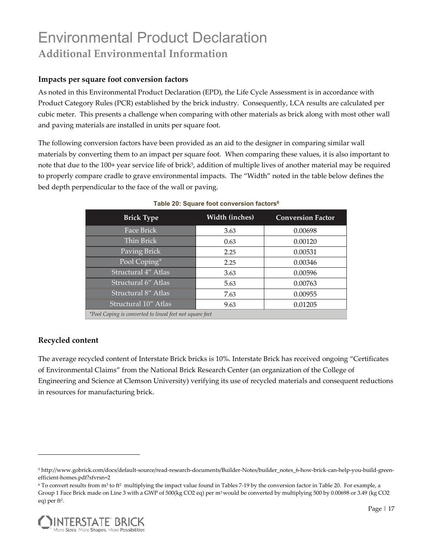# Environmental Product Declaration **Additional Environmental Information**

### **Impacts per square foot conversion factors**

As noted in this Environmental Product Declaration (EPD), the Life Cycle Assessment is in accordance with Product Category Rules (PCR) established by the brick industry. Consequently, LCA results are calculated per cubic meter. This presents a challenge when comparing with other materials as brick along with most other wall and paving materials are installed in units per square foot.

The following conversion factors have been provided as an aid to the designer in comparing similar wall materials by converting them to an impact per square foot. When comparing these values, it is also important to note that due to the 100+ year service life of brick<sup>5</sup>, addition of multiple lives of another material may be required to properly compare cradle to grave environmental impacts. The "Width" noted in the table below defines the bed depth perpendicular to the face of the wall or paving.

| <b>Brick Type</b>                                        | Width (inches) | <b>Conversion Factor</b> |
|----------------------------------------------------------|----------------|--------------------------|
| Face Brick                                               | 3.63           | 0.00698                  |
| Thin Brick                                               | 0.63           | 0.00120                  |
| Paving Brick                                             | 2.25           | 0.00531                  |
| Pool Coping*                                             | 2.25           | 0.00346                  |
| Structural 4" Atlas                                      | 3.63           | 0.00596                  |
| Structural 6" Atlas                                      | 5.63           | 0.00763                  |
| Structural 8" Atlas                                      | 7.63           | 0.00955                  |
| Structural 10" Atlas                                     | 9.63           | 0.01205                  |
| *Pool Coping is converted to lineal feet not square feet |                |                          |

#### **Table 20: Square foot conversion factors6**

### **Recycled content**

The average recycled content of Interstate Brick bricks is 10%. Interstate Brick has received ongoing "Certificates of Environmental Claims" from the National Brick Research Center (an organization of the College of Engineering and Science at Clemson University) verifying its use of recycled materials and consequent reductions in resources for manufacturing brick.

<sup>6</sup> To convert results from m3 to ft2 multiplying the impact value found in Tables 7-19 by the conversion factor in Table 20. For example, a Group 1 Face Brick made on Line 3 with a GWP of 500(kg CO2 eq) per m3 would be converted by multiplying 500 by 0.00698 or 3.49 (kg CO2 eq) per ft<sup>2</sup>.

![](_page_16_Picture_10.jpeg)

<sup>5</sup> http://www.gobrick.com/docs/default-source/read-research-documents/Builder-Notes/builder\_notes\_6-how-brick-can-help-you-build-greenefficient-homes.pdf?sfvrsn=2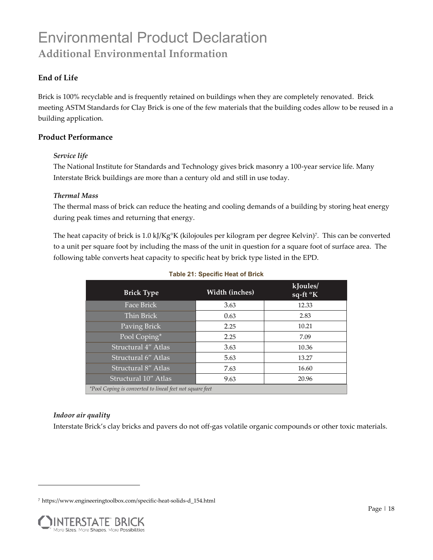# Environmental Product Declaration **Additional Environmental Information**

### **End of Life**

Brick is 100% recyclable and is frequently retained on buildings when they are completely renovated. Brick meeting ASTM Standards for Clay Brick is one of the few materials that the building codes allow to be reused in a building application.

### **Product Performance**

### *Service life*

The National Institute for Standards and Technology gives brick masonry a 100-year service life. Many Interstate Brick buildings are more than a century old and still in use today.

### *Thermal Mass*

The thermal mass of brick can reduce the heating and cooling demands of a building by storing heat energy during peak times and returning that energy.

The heat capacity of brick is 1.0 kJ/Kg°K (kilojoules per kilogram per degree Kelvin)7. This can be converted to a unit per square foot by including the mass of the unit in question for a square foot of surface area. The following table converts heat capacity to specific heat by brick type listed in the EPD.

| <b>Brick Type</b>                                        | Width (inches) | kJoules/<br>sq-ft °K |
|----------------------------------------------------------|----------------|----------------------|
| Face Brick                                               | 3.63           | 12.33                |
| Thin Brick                                               | 0.63           | 2.83                 |
| Paving Brick                                             | 2.25           | 10.21                |
| Pool Coping*                                             | 2.25           | 7.09                 |
| Structural 4" Atlas                                      | 3.63           | 10.36                |
| Structural 6" Atlas                                      | 5.63           | 13.27                |
| Structural 8" Atlas                                      | 7.63           | 16.60                |
| Structural 10" Atlas                                     | 9.63           | 20.96                |
| *Pool Coping is converted to lineal feet not square feet |                |                      |

### **Table 21: Specific Heat of Brick**

### *Indoor air quality*

Interstate Brick's clay bricks and pavers do not off-gas volatile organic compounds or other toxic materials.

<sup>7</sup> https://www.engineeringtoolbox.com/specific-heat-solids-d\_154.html

![](_page_17_Picture_14.jpeg)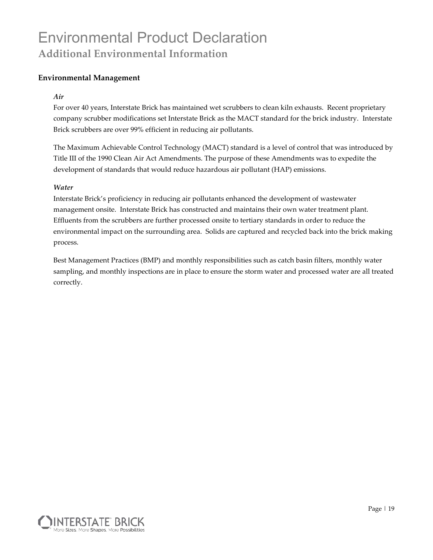# Environmental Product Declaration **Additional Environmental Information**

### **Environmental Management**

### *Air*

For over 40 years, Interstate Brick has maintained wet scrubbers to clean kiln exhausts. Recent proprietary company scrubber modifications set Interstate Brick as the MACT standard for the brick industry. Interstate Brick scrubbers are over 99% efficient in reducing air pollutants.

The Maximum Achievable Control Technology (MACT) standard is a level of control that was introduced by Title III of the 1990 Clean Air Act Amendments. The purpose of these Amendments was to expedite the development of standards that would reduce hazardous air pollutant (HAP) emissions.

### *Water*

Interstate Brick's proficiency in reducing air pollutants enhanced the development of wastewater management onsite. Interstate Brick has constructed and maintains their own water treatment plant. Effluents from the scrubbers are further processed onsite to tertiary standards in order to reduce the environmental impact on the surrounding area. Solids are captured and recycled back into the brick making process.

Best Management Practices (BMP) and monthly responsibilities such as catch basin filters, monthly water sampling, and monthly inspections are in place to ensure the storm water and processed water are all treated correctly.

![](_page_18_Picture_8.jpeg)